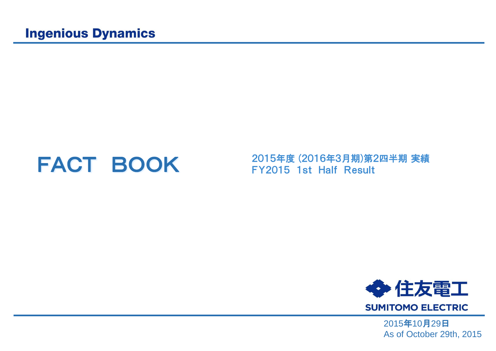**FACT BOOK** 2015年度 (2016年3月期)第2四半期 実績<br>
FY2015 1st Half Result



2015年10月29日 As of October 29th, 2015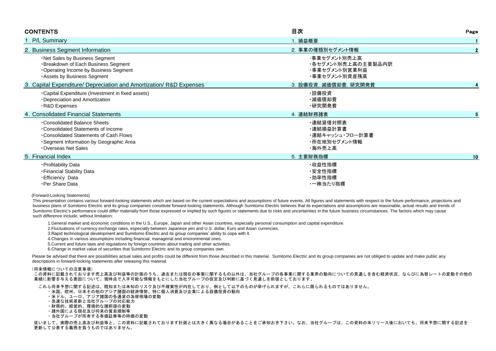| <b>CONTENTS</b>                                                                                                                                                               | 目次                                                                   | Page         |
|-------------------------------------------------------------------------------------------------------------------------------------------------------------------------------|----------------------------------------------------------------------|--------------|
| 1. P/L Summary                                                                                                                                                                | 1. 損益概要                                                              |              |
| 2. Business Segment Information                                                                                                                                               | 2. 事業の種類別セグメント情報                                                     | $\mathbf{2}$ |
| . Net Sales by Business Segment<br>·Breakdown of Each Business Segment<br>Operating Income by Business Segment<br>Assets by Business Segment                                  | ・事業セグメント別売上高<br>・各セグメント別売上高の主要製品内訳<br>・事業セグメント別営業利益<br>・事業セグメント別資産残高 |              |
| 3. Capital Expenditure/ Depreciation and Amortization/ R&D Expenses                                                                                                           | 3. 設備投資, 減価償却費, 研究開発費                                                |              |
| •Capital Expenditure (Investment in fixed assets)<br>•Depreciation and Amortization<br>R&D Expenses                                                                           | · 設備投資<br>•減価償却費<br>·研究開発費                                           |              |
| 4. Consolidated Financial Statements                                                                                                                                          | 4. 連結財務諸表                                                            |              |
| . Consolidated Balance Sheets<br>•Consolidated Statements of Income<br>Consolidated Statements of Cash Flows<br>·Segment Information by Geographic Area<br>Overseas Net Sales | ・連結貸借対照表<br>・連結損益計算書<br>・連結キャッシュ・フロー計算書<br>・所在地別セグメント情報<br>・海外売上高    |              |
| 5. Financial Index                                                                                                                                                            | 5. 主要財務指標                                                            | 10           |
| · Profitability Data<br>- Financial Stability Data<br>· Efficiency Data<br>·Per Share Data                                                                                    | ・収益性指標<br>・安全性指標<br>・効率性指標<br>・一株当たり指標                               |              |

#### (Forward-Looking Statements)

 This presentation contains various forward-looking statements which are based on the current expectations and assumptions of future events. All figures and statements with respect to the future performance, projections and business plans of Sumitomo Electric and its group companies constitute forward-looking statements. Although Sumitomo Electric believes that its expectations and assumptions are reasonable, actual results and trends of Sumitomo Electric's performance could differ materially from those expressed or implied by such figures or statements due to risks and uncertainties in the future business circumstances. The factors which may cause such difference include, without limitation:

1.General market and economic conditions in the U.S., Europe, Japan and other Asian countries, especially personal consumption and capital expenditure.

2.Fluctuations of currency exchange rates, especially between Japanese yen and U.S. dollar, Euro and Asian currencies.

3.Rapid technological development and Sumitomo Electric and its group companies' ability to cope with it.

4.Changes in various assumptions including financial, managerial and environmental ones.

5.Current and future laws and regulations by foreign countries about trading and other activities.

6.Change in market value of securities that Sumitomo Electric and its group companies own.

Please be advised that there are possibilities actual sales and profits could be different from those described in this material. Sumitomo Electric and its group companies are not obliged to update and make public any descriptions in forward-looking statements after releasing this material.

#### (将来情報についての注意事項)

 この資料に記載されております売上高及び利益等の計画のうち、過去または現在の事実に関するもの以外は、当社グループの各事業に関する業界の動向についての見通しを含む経済状況、ならびに為替レートの変動その他の 業績に影響を与える要因について、現時点で入手可能な情報をもとにした当社グループの仮定及び判断に基づく見通しを前提としております。

これら将来予想に関する記述は、既知または未知のリスク及び不確実性が内在しており、例として以下のものが挙げられますが、これらに限られるものではありません。

- ・米国、欧州、日本その他のアジア諸国の経済情勢、特に個人消費及び企業による設備投資の動向
- ・米ドル、ユーロ、アジア諸国の各通貨の為替相場の変動
- ・急速な技術革新と当社グループの対応能力
- ・財務的、経営的、環境的な諸前提の変動
- ・諸外国による現在及び将来の貿易規制等
- ・当社グループが所有する有価証券等の時価の変動

 従いまして、実際の売上高及び利益等と、この資料に記載されております計画とは大きく異なる場合があることをご承知おき下さい。なお、当社グループは、この資料の本リリース後においても、将来予想に関する記述を 更新して公表する義務を負うものではありません。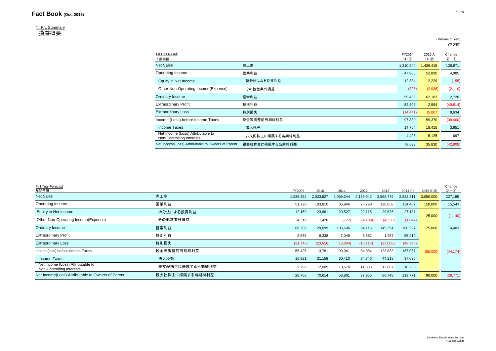### 1.P/L Summary

損益概要

| 1st Half Result<br>上期実績                                        |                 | FY2014<br>$1H$ $(D)$ | 2015 A<br>1H(2) | Change<br>$2 - 0$ |
|----------------------------------------------------------------|-----------------|----------------------|-----------------|-------------------|
| <b>Net Sales</b>                                               | 売上高             | 1,310,544            | 1,439,415       | 128,871           |
| Operating Income                                               | 営業利益            | 47,905               | 52,890          | 4,985             |
| Equity in Net Income                                           | 持分法による投資利益      | 12,384               | 12,229          | (155)             |
| Other Non-Operating Income(Expense)                            | その他営業外損益        | (826)                | (2,936)         | (2, 110)          |
| Ordinary Income                                                | 経常利益            | 59,463               | 62,183          | 2,720             |
| <b>Extraordinary Profit</b>                                    | 特別利益            | 52,808               | 2,994           | (49, 814)         |
| <b>Extraordinary Loss</b>                                      | 特別損失            | (14, 441)            | (5,807)         | 8,634             |
| Income (Loss) before Income Taxes                              | 税金等調整前当期純利益     | 97,830               | 59,370          | (38, 460)         |
| Income Taxes                                                   | 法人税等            | 14,764               | 18,415          | 3,651             |
| Net Income (Loss) Attributable to<br>Non-Controlling Interests | 非支配株主に帰属する当期純利益 | 4,428                | 5,125           | 697               |
| Net Income(Loss) Attributable to Owners of Parent              | 親会社株主に帰属する当期純利益 | 78,638               | 35,830          | (42, 808)         |
|                                                                |                 |                      |                 |                   |

| Full Year Forecast<br>年間予想                                     |                 | FY2009    | 2010      | 2011      | 2012      | 2013      | 2014(1)   | 2015 E 2  | Change<br>$(2 - 1)$ |
|----------------------------------------------------------------|-----------------|-----------|-----------|-----------|-----------|-----------|-----------|-----------|---------------------|
| <b>Net Sales</b>                                               | 売上高             | 1,836,352 | 2,033,827 | 2,059,344 | 2,159,942 | 2,568,779 | 2,822,811 | 3,050,000 | 227,189             |
| Operating Income                                               | 営業利益            | 51,728    | 103,810   | 86,946    | 76,790    | 120,058   | 134,457   | 150,000   | 15,543              |
| Equity in Net Income                                           | 持分法による投資利益      | 12,159    | 23,861    | 20,527    | 22,115    | 29,626    | 27,187    | 25,000    | (1, 140)            |
| Other Non-Operating Income(Expense)                            | その他営業外損益        | 4,319     | 1,428     | (777)     | (4,789)   | (4,330)   | (1,047)   |           |                     |
| Ordinary Income                                                | 経常利益            | 68,206    | 129,099   | 106,696   | 94,116    | 145,354   | 160,597   | 175,000   | 14,403              |
| <b>Extraordinary Profit</b>                                    | 特別利益            | 8,965     | 8,338     | 7,049     | 6,682     | 1,487     | 55,410    |           |                     |
| <b>Extraordinary Loss</b>                                      | 特別損失            | (21, 746) | (23, 656) | (13, 804) | (16, 714) | (23,008)  | (48, 940) |           |                     |
| Income(loss) before Income Taxes                               | 税金等調整前当期純利益     | 55,425    | 113,781   | 99,941    | 84,084    | 123,833   | 167,067   | (85,000)  | (44, 174)           |
| Income Taxes                                                   | 法人税等            | 16,921    | 31,158    | 30,410    | 34,746    | 44,218    | 37,036    |           |                     |
| Net Income (Loss) Attributable to<br>Non-Controlling Interests | 非支配株主に帰属する当期純利益 | 9,796     | 12,009    | 10,670    | 11,383    | 12,867    | 10,260    |           |                     |
| Net Income(Loss) Attributable to Owners of Parent              | 親会社株主に帰属する当期純利益 | 28,708    | 70,614    | 58,861    | 37,955    | 66,748    | 119,771   | 90,000    | (29, 771)           |

(Millions of Yen) (百万円)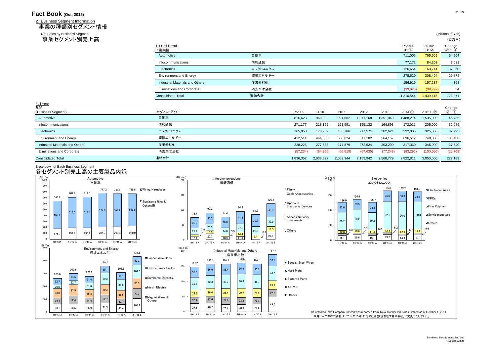2. Business Segment Information 事業の種類別セグメント情報

Net Sales by Business Segment (Millions of Yen) (Millions of Yen) (Millions of Yen) (Millions of Yen) (Millions of Yen) (The Sales by Business Segment (Millions of Yen) (The Sales by Business Segment (Millions of Yen) (お

| 事業セグメント別売上高                       |                                 |          |           |           |           |           |           |                      |                | (百万円)               |
|-----------------------------------|---------------------------------|----------|-----------|-----------|-----------|-----------|-----------|----------------------|----------------|---------------------|
|                                   | 1st Half Result<br>上期実績         |          |           |           |           |           |           | FY2014<br>$1H$ $(D)$ | 2015A<br>1H(2) | Change<br>$(2 - 0)$ |
|                                   | Automotive                      | 自動車      |           |           |           |           |           | 711,005              | 765,509        | 54,504              |
|                                   | Infocommunications              | 情報通信     |           |           |           |           |           | 77,172               | 84,203         | 7,031               |
|                                   | Electronics                     | エレクトロニクス |           |           |           |           |           | 126,654              | 163,714        | 37,060              |
|                                   | <b>Environment and Energy</b>   | 環境エネルギー  |           |           |           |           |           | 278,620              | 308,494        | 29,874              |
|                                   | Industrial Materials and Others | 産業素材他    |           |           |           |           |           | 156,919              | 157,287        | 368                 |
|                                   | Eliminations and Corporate      | 消去又は全社   |           |           |           |           |           | (39, 826)            | (39, 792)      | 34                  |
|                                   | <b>Consolidated Total</b>       | 連結合計     |           |           |           |           |           | 1,310,544            | 1,439,415      | 128,871             |
| <u>Full Year</u><br>年間            |                                 |          |           |           |           |           |           |                      |                |                     |
| (Business Segment)                | (セグメント区分)                       |          | FY2009    | 2010      | 2011      | 2012      | 2013      | 2014(1)              | 2015 E 2       | Change<br>$2-0$     |
| Automotive                        | 自動車                             |          | 816,623   | 960,002   | 991,682   | 1,071,168 | 1,351,049 | 1,488,214            | 1,535,000      | 46,786              |
| Infocommunications                | 情報通信                            |          | 271,177   | 218,165   | 161,991   | 155,132   | 164,893   | 172,011              | 205,000        | 32,989              |
| Electronics                       | エレクトロニクス                        |          | 165,050   | 178,209   | 185,786   | 217,571   | 262,624   | 292,005              | 325,000        | 32,995              |
| <b>Environment and Energy</b>     | 環境エネルギー                         |          | 412,511   | 464,883   | 508,624   | 511,182   | 564,157   | 636,512              | 740,000        | 103,488             |
| Industrial Materials and Others   | 産業素材他                           |          | 228,225   | 277,533   | 277,879   | 272,524   | 303,299   | 317,360              | 345,000        | 27,640              |
| <b>Eliminations and Corporate</b> | 消去又は全社                          |          | (57, 234) | (64, 965) | (66, 618) | (67, 635) | (77, 243) | (83, 291)            | (100,000)      | (16, 709)           |
| <b>Consolidated Total</b>         | 連結合計                            |          | 1,836,352 | 2,033,827 | 2,059,344 | 2,159,942 | 2,568,779 | 2,822,811            | 3,050,000      | 227,189             |

### Breakdown of Each Business Segment

# 各セグメント別売上高の主要製品内訳

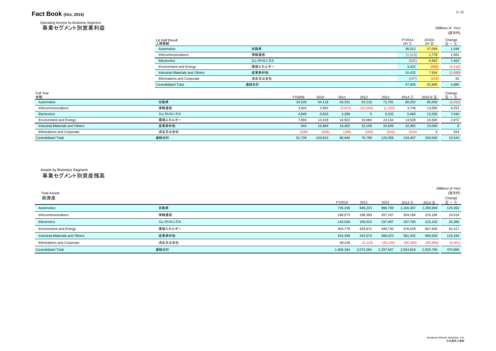Operating Income by Business Segment ールのサイトのサイトのサイトの<br>事業セグメント別営業利益 (Millions of Yen)

| .                                 |                                   |          |        |         |          |             |          |                      |                | (百万円)                                 |
|-----------------------------------|-----------------------------------|----------|--------|---------|----------|-------------|----------|----------------------|----------------|---------------------------------------|
|                                   | 1st Half Result<br>上期実績           |          |        |         |          |             |          | FY2014<br>$1H$ $(1)$ | 2015A<br>1H(2) | Change<br>$(2) - (1)$                 |
|                                   | Automotive                        | 自動車      |        |         |          |             |          | 36,012               | 37,058         | 1,046                                 |
|                                   | Infocommunications                | 情報通信     |        |         |          |             |          | (1,213)              | 1,778          | 2,991                                 |
|                                   | Electronics                       | エレクトロニクス |        |         |          |             |          | (501)                | 6,962          | 7,463                                 |
|                                   | <b>Environment and Energy</b>     | 環境エネルギー  |        |         |          |             |          | 3,422                | (688)          | (4, 110)                              |
|                                   | Industrial Materials and Others   | 産業素材他    |        |         |          |             |          | 10,432               | 7,934          | (2, 498)                              |
|                                   | <b>Eliminations and Corporate</b> | 消去又は全社   |        |         |          |             |          | (247)                | (154)          | 93                                    |
|                                   | <b>Consolidated Total</b>         | 連結合計     |        |         |          |             |          | 47,905               | 52,890         | 4,985                                 |
| Full Year<br>年間                   |                                   |          | FY2009 | 2010    | 2011     | 2012        | 2013     | 2014(1)              | 2015 E 2       | Change<br>$\mathcal{D} - \mathcal{D}$ |
| Automotive                        | 自動車                               |          | 34,526 | 64,118  | 54,331   | 53,116      | 71,781   | 89,252               | 85,000         | (4,252)                               |
| Infocommunications                | 情報通信                              |          | 3,624  | 2,983   | (5, 872) | (10, 255)   | (1, 155) | 3,749                | 13,000         | 9,251                                 |
| Electronics                       | エレクトロニクス                          |          | 4,849  | 6,603   | 3,289    | $5^{\circ}$ | 5,332    | 5,460                | 12,500         | 7,040                                 |
| <b>Environment and Energy</b>     | 環境エネルギー                           |          | 7,893  | 13,428  | 16,922   | 19,084      | 24,134   | 13,528               | 16,500         | 2,972                                 |
| Industrial Materials and Others   | 産業素材他                             |          | 944    | 16,884  | 18,462   | 15,100      | 20,509   | 22,992               | 23,000         | 8                                     |
| <b>Eliminations and Corporate</b> | 消去又は全社                            |          | (108)  | (206)   | (186)    | (260)       | (543)    | (524)                | $\mathbf 0$    | 524                                   |
| <b>Consolidated Total</b>         | 連結合計                              |          | 51,728 | 103,810 | 86,946   | 76,790      | 120,058  | 134,457              | 150,000        | 15,543                                |

# 事業セグメント別資産残高 Assets by Business Segment

| <b>Total Assets</b><br>総資産        |          | FY2010    | 2011      | 2012      | 2013(1)   | 2014(2)   | (Millions of Yen)<br>(百万円)<br>Change<br>$(2) - (1)$ |
|-----------------------------------|----------|-----------|-----------|-----------|-----------|-----------|-----------------------------------------------------|
| Automotive                        | 自動車      | 735,249   | 846,223   | 986,799   | 1,165,307 | 1,290,669 | 125,362                                             |
| Infocommunications                | 情報通信     | 198,573   | 198,393   | 207,167   | 204,166   | 219,185   | 15,019                                              |
| Electronics                       | エレクトロニクス | 145,036   | 156,523   | 197,487   | 197,765   | 223,150   | 25,385                                              |
| <b>Environment and Energy</b>     | 環境エネルギー  | 404,779   | 429,971   | 449,730   | 476,528   | 567,945   | 91,417                                              |
| Industrial Materials and Others   | 産業素材他    | 424,499   | 443,074   | 486,523   | 561,452   | 680,636   | 119,184                                             |
| <b>Eliminations and Corporate</b> | 消去又は全社   | 48,148    | (2, 120)  | (30, 139) | (50, 399) | (55,800)  | (5,401)                                             |
| <b>Consolidated Total</b>         | 連結合計     | 1,956,284 | 2,072,064 | 2,297,567 | 2,554,819 | 2,925,785 | 370,966                                             |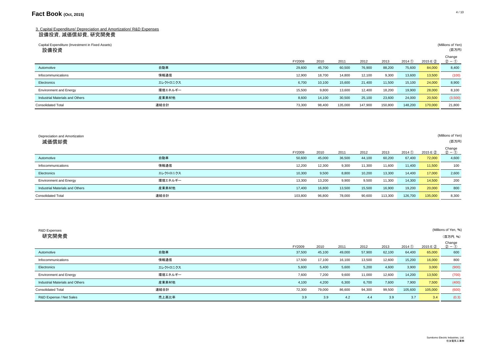### 3. Capital Expenditure/ Depreciation and Amortization/ R&D Expenses 設備投資, 減価償却費, 研究開発費

| Capital Expenditure (Investment in Fixed Assets)<br>設備投資 |          |        |        |         |         |         |         |          | (Millions of Yen)<br>(百万円) |
|----------------------------------------------------------|----------|--------|--------|---------|---------|---------|---------|----------|----------------------------|
|                                                          |          | FY2009 | 2010   | 2011    | 2012    | 2013    | 2014(1) | 2015 E 2 | Change<br>$(2 - 0)$        |
| Automotive                                               | 自動車      | 29,600 | 45,700 | 60,500  | 76,900  | 88,200  | 75,600  | 84,000   | 8,400                      |
| Infocommunications                                       | 情報通信     | 12,900 | 18,700 | 14,800  | 12,100  | 9,300   | 13,600  | 13,500   | (100)                      |
| Electronics                                              | エレクトロニクス | 6,700  | 10,100 | 15,600  | 21,400  | 11,500  | 15,100  | 24,000   | 8,900                      |
| <b>Environment and Energy</b>                            | 環境エネルギー  | 15,500 | 9,800  | 13,600  | 12,400  | 18,200  | 19,900  | 28,000   | 8,100                      |
| Industrial Materials and Others                          | 産業素材他    | 8,600  | 14,100 | 30,500  | 25,100  | 23,600  | 24,000  | 20,500   | (3,500)                    |
| <b>Consolidated Total</b>                                | 連結合計     | 73,300 | 98,400 | 135,000 | 147,900 | 150,800 | 148,200 | 170,000  | 21,800                     |

| Depreciation and Amortization<br>減価償却費 |          |         |        |        |        |         |         |          | (Millions of Yen)<br>(百万円) |
|----------------------------------------|----------|---------|--------|--------|--------|---------|---------|----------|----------------------------|
|                                        |          | FY2009  | 2010   | 2011   | 2012   | 2013    | 2014(1) | 2015 E 2 | Change<br>$(2) - (1)$      |
| Automotive                             | 自動車      | 50,600  | 45,000 | 36,500 | 44,100 | 60,200  | 67,400  | 72,000   | 4,600                      |
| Infocommunications                     | 情報通信     | 12,200  | 12,300 | 9,300  | 11,300 | 11,600  | 11,400  | 11,500   | 100                        |
| Electronics                            | エレクトロニクス | 10,300  | 9,500  | 8,800  | 10,200 | 13,300  | 14,400  | 17,000   | 2,600                      |
| <b>Environment and Energy</b>          | 環境エネルギー  | 13,300  | 13,200 | 9,900  | 9,500  | 11,300  | 14,300  | 14,500   | 200                        |
| Industrial Materials and Others        | 産業素材他    | 17,400  | 16,800 | 13,500 | 15,500 | 16,900  | 19,200  | 20,000   | 800                        |
| <b>Consolidated Total</b>              | 連結合計     | 103,800 | 96,800 | 78,000 | 90,600 | 113,300 | 126,700 | 135,000  | 8,300                      |

| R&D Expenses                    |          |        |        |        |        |        |         |          | (Millions of Yen, %)  |
|---------------------------------|----------|--------|--------|--------|--------|--------|---------|----------|-----------------------|
| 研究開発費                           |          |        |        |        |        |        |         |          | (百万円,%)               |
|                                 |          | FY2009 | 2010   | 2011   | 2012   | 2013   | 2014(1) | 2015 E 2 | Change<br>$(2) - (1)$ |
| Automotive                      | 自動車      | 37,500 | 45,100 | 49,000 | 57,900 | 62,100 | 64,400  | 65,000   | 600                   |
| Infocommunications              | 情報通信     | 17,500 | 17,100 | 16,100 | 13,500 | 12,600 | 15,200  | 16,000   | 800                   |
| Electronics                     | エレクトロニクス | 5,600  | 5,400  | 5,600  | 5,200  | 4,600  | 3,900   | 3,000    | (900)                 |
| <b>Environment and Energy</b>   | 環境エネルギー  | 7,600  | 7,200  | 9,600  | 11,000 | 12,600 | 14,200  | 13,500   | (700)                 |
| Industrial Materials and Others | 産業素材他    | 4,100  | 4,200  | 6,300  | 6,700  | 7,600  | 7,900   | 7,500    | (400)                 |
| <b>Consolidated Total</b>       | 連結合計     | 72,300 | 79,000 | 86,600 | 94,300 | 99,500 | 105,600 | 105,000  | (600)                 |
| R&D Expense / Net Sales         | 売上高比率    | 3.9    | 3.9    | 4.2    | 4.4    | 3.9    | 3.7     | 3.4      | (0.3)                 |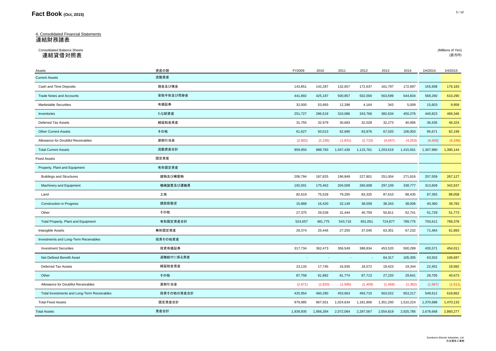# 4. Consolidated Financial Statements 連結財務諸表

#### Consolidated Balance Sheets (Millions of Yen) 連結貸借対照表 (百万円)

| Assets                                      | 資産の部       | FY2009    | 2010      | 2011      | 2012      | 2013      | 2014      | 1H/2014   | 1H/2015   |
|---------------------------------------------|------------|-----------|-----------|-----------|-----------|-----------|-----------|-----------|-----------|
| <b>Current Assets</b>                       | 流動資産       |           |           |           |           |           |           |           |           |
| Cash and Time Deposits                      | 現金及び預金     | 143,851   | 142,287   | 132,657   | 172,637   | 161,797   | 172,697   | 155,608   | 176,183   |
| <b>Trade Notes and Accounts</b>             | 受取手形及び売掛金  | 441,892   | 425,187   | 500,857   | 502,000   | 563,599   | 644,834   | 568,260   | 610,290   |
| <b>Marketable Securities</b>                | 有価証券       | 32,000    | 53,993    | 12,288    | 4,164     | 343       | 5,009     | 15,603    | 9,958     |
| Inventories                                 | たな卸資産      | 251,727   | 286,519   | 310,086   | 343,766   | 382,634   | 450,276   | 440,823   | 469,346   |
| Deferred Tax Assets                         | 繰延税金資産     | 31,755    | 32,979    | 30,683    | 32,028    | 32,273    | 40,995    | 36,435    | 46,324    |
| Other Current Assets                        | その他        | 61,627    | 50,013    | 62,690    | 63,876    | 67,020    | 106,003   | 95,671    | 82,199    |
| Allowance for Doubtful Receivables          | 貸倒引当金      | (2,902)   | (2, 195)  | (1,831)   | (2,710)   | (4,047)   | (4,253)   | (4,420)   | (4, 156)  |
| <b>Total Current Assets</b>                 | 流動資産合計     | 959,950   | 988,783   | 1,047,430 | 1,115,761 | 1,203,619 | 1,415,561 | 1,307,980 | 1,390,144 |
| <b>Fixed Assets</b>                         | 固定資産       |           |           |           |           |           |           |           |           |
| Property, Plant and Equipment               | 有形固定資産     |           |           |           |           |           |           |           |           |
| <b>Buildings and Structures</b>             | 建物及び構築物    | 206,794   | 187,825   | 196,849   | 227,801   | 251,004   | 271,816   | 257,559   | 267,127   |
| Machinery and Equipment                     | 機械装置及び運搬具  | 192,001   | 175,463   | 204,009   | 260,608   | 297,109   | 338,777   | 313,609   | 342,637   |
| Land                                        | 土地         | 82,619    | 75,528    | 79,265    | 83,325    | 87,610    | 88,435    | 87,355    | 88,058    |
| <b>Construction in Progress</b>             | 建設仮勘定      | 15,868    | 16,420    | 32,149    | 38,558    | 38,343    | 38,006    | 40,360    | 39,783    |
| Other                                       | その他        | 27,375    | 26,539    | 31,444    | 40,759    | 50,811    | 52,741    | 51,729    | 51,773    |
| Total Property, Plant and Equipment         | 有形固定資産合計   | 524,657   | 481,775   | 543,716   | 651,051   | 724,877   | 789,775   | 750,612   | 789,378   |
| Intangible Assets                           | 無形固定資産     | 29,374    | 25,446    | 27,255    | 37,045    | 63,301    | 67,232    | 71,464    | 61,893    |
| Investments and Long-Term Receivables       | 投資その他資産    |           |           |           |           |           |           |           |           |
| <b>Investment Securities</b>                | 投資有価証券     | 317,734   | 362,473   | 356,549   | 388,834   | 453,520   | 500,289   | 435,571   | 454,011   |
| Net Defined Benefit Asset                   | 退職給付に係る資産  |           |           |           | $\sim$    | 64,317    | 105,305   | 63,502    | 106,697   |
| Deferred Tax Assets                         | 繰延税金資産     | 23,133    | 17,745    | 16,935    | 18,572    | 19,423    | 19,344    | 22,401    | 18,992    |
| Other                                       | その他        | 87,758    | 81,882    | 81,774    | 87,713    | 27,220    | 29,641    | 28,705    | 40,673    |
| Allowance for Doubtful Receivables          | 貸倒引当金      | (2,671)   | (1,820)   | (1,595)   | (1,409)   | (1,458)   | (1, 362)  | (1, 567)  | (1,511)   |
| Total Investments and Long-Term Receivables | 投資その他の資産合計 | 425,954   | 460,280   | 453,663   | 493,710   | 563,022   | 653,217   | 548,612   | 618,862   |
| <b>Total Fixed Assets</b>                   | 固定資産合計     | 979,985   | 967,501   | 1,024,634 | 1,181,806 | 1,351,200 | 1,510,224 | 1,370,688 | 1,470,133 |
| <b>Total Assets</b>                         | 資産合計       | 1,939,935 | 1,956,284 | 2,072,064 | 2,297,567 | 2,554,819 | 2,925,785 | 2,678,668 | 2,860,277 |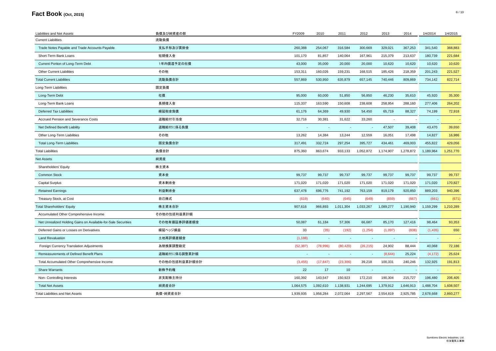| Liabilities and Net Assets                                    | 負債及び純資産の部     | FY2009    | 2010      | 2011                     | 2012                     | 2013                     | 2014       | 1H/2014   | 1H/2015   |
|---------------------------------------------------------------|---------------|-----------|-----------|--------------------------|--------------------------|--------------------------|------------|-----------|-----------|
| <b>Current Liabilities</b>                                    | 流動負債          |           |           |                          |                          |                          |            |           |           |
| Trade Notes Payable and Trade Accounts Payable                | 支払手形及び買掛金     | 260,388   | 254,067   | 316,584                  | 300,669                  | 329,021                  | 367,253    | 341,540   | 368,883   |
| Short-Term Bank Loans                                         | 短期借入金         | 101,170   | 81,857    | 140,064                  | 167,961                  | 215,379                  | 213,637    | 180,739   | 221,684   |
| Current Portion of Long-Term Debt                             | 1年内償還予定の社債    | 43,000    | 35,000    | 20,000                   | 20,000                   | 10,620                   | 10,620     | 10,620    | 10,620    |
| <b>Other Current Liabilities</b>                              | その他           | 153,311   | 160,026   | 159,231                  | 168,515                  | 185,426                  | 218,359    | 201,243   | 221,527   |
| <b>Total Current Liabilities</b>                              | 流動負債合計        | 557,869   | 530,950   | 635,879                  | 657,145                  | 740,446                  | 809,869    | 734,142   | 822,714   |
| Long-Term Liabilities                                         | 固定負債          |           |           |                          |                          |                          |            |           |           |
| Long-Term Debt                                                | 社債            | 95,000    | 60,000    | 51,850                   | 56,850                   | 46,230                   | 35,610     | 45,920    | 35,300    |
| Long-Term Bank Loans                                          | 長期借入金         | 115,337   | 163,590   | 150,608                  | 238,608                  | 258,954                  | 288,160    | 277,406   | 264,202   |
| <b>Deferred Tax Liabilities</b>                               | 繰延税金負債        | 61,176    | 64,369    | 49,930                   | 54,450                   | 65,719                   | 88,327     | 74,199    | 72,918    |
| Accrued Pension and Severance Costs                           | 退職給付引当金       | 32,716    | 30,381    | 31,622                   | 33,260                   |                          |            |           |           |
| Net Defined Benefit Liability                                 | 退職給付に係る負債     |           |           | $\overline{\phantom{a}}$ | $\overline{\phantom{a}}$ | 47,507                   | 39,408     | 43,470    | 39,650    |
| Other Long-Term Liabilities                                   | その他           | 13,262    | 14,384    | 13,244                   | 12,559                   | 16,051                   | 17,498     | 14,827    | 16,986    |
| <b>Total Long-Term Liabilities</b>                            | 固定負債合計        | 317,491   | 332,724   | 297,254                  | 395,727                  | 434,461                  | 469,003    | 455,822   | 429,056   |
| <b>Total Liabilities</b>                                      | 負債合計          | 875,360   | 863,674   | 933,133                  | 1,052,872                | 1,174,907                | 1,278,872  | 1,189,964 | 1,251,770 |
| <b>Net Assets</b>                                             | 純資産           |           |           |                          |                          |                          |            |           |           |
| Shareholders' Equity                                          | 株主資本          |           |           |                          |                          |                          |            |           |           |
| <b>Common Stock</b>                                           | 資本金           | 99,737    | 99,737    | 99,737                   | 99,737                   | 99,737                   | 99,737     | 99,737    | 99,737    |
| <b>Capital Surplus</b>                                        | 資本剰余金         | 171,020   | 171,020   | 171,020                  | 171,020                  | 171,020                  | 171,020    | 171,020   | 170,827   |
| <b>Retained Earnings</b>                                      | 利益剰余金         | 637,478   | 696,776   | 741,192                  | 763,159                  | 819,179                  | 920,850    | 889,203   | 940,396   |
| Treasury Stock, at Cost                                       | 自己株式          | (619)     | (640)     | (645)                    | (649)                    | (659)                    | (667)      | (661)     | (671)     |
| <b>Total Shareholders' Equity</b>                             | 株主資本合計        | 907,616   | 966,893   | 1,011,304                | 1,033,267                | 1,089,277                | 1,190,940  | 1,159,299 | 1,210,289 |
| Accumulated Other Comprehensive Income                        | その他の包括利益累計額   |           |           |                          |                          |                          |            |           |           |
| Net Unrealized Holding Gains on Available-for-Sale Securities | その他有価証券評価差額金  | 50,087    | 61.184    | 57,306                   | 66.687                   | 85,170                   | 127,416    | 98.464    | 93,353    |
| Deferred Gains or Losses on Derivatives                       | 繰延ヘッジ損益       | 33        | (35)      | (192)                    | (1,254)                  | (1,097)                  | (838)      | (1, 435)  | 650       |
| <b>Land Revaluation</b>                                       | 土地再評価差額金      | (1, 188)  | $\sim$    | $\sim$                   | $\sim$                   | $\overline{\phantom{a}}$ | $\sim$ $-$ | $\sim$    |           |
| Foreign Currency Translation Adjustments                      | 為替換算調整勘定      | (52, 387) | (78,996)  | (80, 420)                | (26, 215)                | 24,902                   | 88,444     | 40,068    | 72,186    |
| Remeasurements of Defined Benefit Plans                       | 退職給付に係る調整累計額  |           |           |                          |                          | (8,644)                  | 25,224     | (4, 172)  | 25,624    |
| Total Accumulated Other Comprehensive Income                  | その他の包括利益累計額合計 | (3, 455)  | (17, 847) | (23, 306)                | 39,218                   | 100,331                  | 240,246    | 132,925   | 191,813   |
| <b>Share Warrants</b>                                         | 新株予約権         | 22        | 17        | 10                       |                          |                          |            |           |           |
| Non- Controlling Interests                                    | 非支配株主持分       | 160,392   | 143,547   | 150,923                  | 172,210                  | 190,304                  | 215,727    | 196,480   | 206,405   |
| <b>Total Net Assets</b>                                       | 純資産合計         | 1,064,575 | 1,092,610 | 1,138,931                | 1,244,695                | 1,379,912                | 1,646,913  | 1,488,704 | 1,608,507 |
| <b>Total Liabilities and Net Assets</b>                       | 負債·純資産合計      | 1,939,935 | 1,956,284 | 2,072,064                | 2,297,567                | 2,554,819                | 2,925,785  | 2,678,668 | 2,860,277 |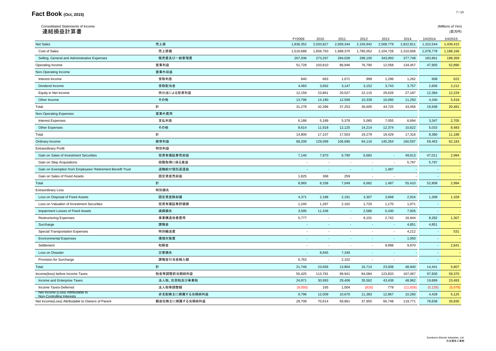| Consolidated Statements of Income<br>連結損益計算書               |                 |                |              |           |           |           |           |           | (Millions of Yen)<br>(百万円) |
|------------------------------------------------------------|-----------------|----------------|--------------|-----------|-----------|-----------|-----------|-----------|----------------------------|
|                                                            |                 | FY2009         | 2010         | 2011      | 2012      | 2013      | 2014      | 1H/2014   | 1H/2015                    |
| <b>Net Sales</b>                                           | 売上高             | 1,836,352      | 2,033,827    | 2,059,344 | 2,159,942 | 2,568,779 | 2,822,811 | 1,310,544 | 1,439,415                  |
| Cost of Sales                                              | 売上原価            | 1,516,688      | 1,656,750    | 1,688,370 | 1,785,052 | 2,104,728 | 2,310,606 | 1,078,778 | 1,188,166                  |
| Selling, General and Administrative Expenses               | 販売費及び一般管理費      | 267,936        | 273,267      | 284,028   | 298,100   | 343,993   | 377,748   | 183,861   | 198,359                    |
| Operating Income                                           | 営業利益            | 51,728         | 103,810      | 86,946    | 76,790    | 12,058    | 134,457   | 47,905    | 52,890                     |
| Non-Operating Income                                       | 営業外収益           |                |              |           |           |           |           |           |                            |
| Interest Income                                            | 受取利息            | 840            | 663          | 1,071     | 999       | 1,296     | 1,262     | 608       | 622                        |
| Dividend Income                                            | 受取配当金           | 4,483          | 3,692        | 3,147     | 3,152     | 3,743     | 3,757     | 2,606     | 2,212                      |
| Equity in Net Income                                       | 持分法による投資利益      | 12,159         | 23,861       | 20,527    | 22,115    | 29,626    | 27,187    | 12,384    | 12,229                     |
| Other Income                                               | その他             | 13,796         | 14,180       | 12,508    | 10,339    | 10,060    | 11,250    | 4,340     | 5,418                      |
| Total                                                      | 計               | 31,278         | 42,396       | 37,253    | 36,605    | 44,725    | 43,456    | 19,938    | 20,481                     |
| Non-Operating Expenses                                     | 営業外費用           |                |              |           |           |           |           |           |                            |
| <b>Interest Expenses</b>                                   | 支払利息            | 6,186          | 5,189        | 5,378     | 5,065     | 7,055     | 6,694     | 3,347     | 2,705                      |
| <b>Other Expenses</b>                                      | その他             | 8,614          | 11,918       | 12,125    | 14,214    | 12,374    | 10,622    | 5.033     | 8,483                      |
| Total                                                      | 計               | 14,800         | 17,107       | 17,503    | 19,279    | 19,429    | 17,316    | 8,380     | 11,188                     |
| Ordinary Income                                            | 経常利益            | 68,206         | 129,099      | 106,696   | 94,116    | 145,354   | 160,597   | 59,463    | 62,183                     |
| <b>Extraordinary Profit</b>                                | 特別利益            |                |              |           |           |           |           |           |                            |
| Gain on Sales of Investment Securities                     | 投資有価証券売却益       | 7,140          | 7,970        | 6,790     | 6,682     |           | 49,613    | 47,011    | 2,994                      |
| Gain on Step Acquisitions                                  | 段階取得に係る差益       | $\sim$         | $\sim$       | $\sim$    |           |           | 5,797     | 5,797     |                            |
| Gain on Exemption from Employees' Retirement Benefit Trust | 退職給付信託返還益       | $\blacksquare$ | $\sim$       | $\sim$    | $\sim$    | 1,487     |           | $\sim$    |                            |
| Gain on Sales of Fixed Assets                              | 固定資産売却益         | 1,825          | 368          | 259       | $\sim$    |           |           | $\sim$    |                            |
| Total                                                      | 計               | 8,965          | 8,338        | 7,049     | 6,682     | 1,487     | 55,410    | 52,808    | 2,994                      |
| <b>Extraordinary Loss</b>                                  | 特別損失            |                |              |           |           |           |           |           |                            |
| Loss on Disposal of Fixed Assets                           | 固定資産除却損         | 4,371          | 2,188        | 2,191     | 3,307     | 3,668     | 2,916     | 1,308     | 1,328                      |
| Loss on Valuation of Investment Securities                 | 投資有価証券評価損       | 1,240          | 1,287        | 2,162     | 1,720     | 1,170     | 1,071     | $\sim$    |                            |
| Impairment Losses of Fixed Assets                          | 減損損失            | 3,595          | 11,336       | $\sim$    | 2,586     | 5,430     | 7,926     | $\sim$    |                            |
| <b>Restructuring Expenses</b>                              | 事業構造改善費用        | 5,777          | $\sim$       | $\sim$    | 9,101     | 2,742     | 16,944    | 8,282     | 1,307                      |
| Surcharge                                                  | 課徴金             | $\sim$         | $\sim$       | $\sim$    | $\sim$    | $\sim$    | 4,851     | 4,851     |                            |
| <b>Special Transportation Expenses</b>                     | 特別輸送費           | $\sim$         | $\mathbf{r}$ | $\sim$    | $\sim$    | $\sim$    | 4,212     | $\sim$    | 531                        |
| <b>Environmental Expenses</b>                              | 環境対策費           | $\sim$         |              | $\sim$    | $\sim$    | $\sim$    | 1,050     | $\sim$    |                            |
| Settlement                                                 | 和解金             |                |              |           | $\sim$    | 9,998     | 9,970     |           | 2,641                      |
| Loss on Disaster                                           | 災害損失            | $\sim$         | 8,845        | 7,349     |           |           |           | $\sim$    |                            |
|                                                            |                 |                |              |           |           |           |           |           |                            |
| Provision for Surcharge                                    | 課徴金引当金繰入額       | 6,763          | $\sim$       | 2,102     | $\sim$    | $\sim$    |           |           |                            |
| Total                                                      | 計               | 21,746         | 23,656       | 13,804    | 16,714    | 23,008    | 48,940    | 14,441    | 5,807                      |
| Income(loss) before Income Taxes                           | 税金等調整前当期純利益     | 55,425         | 113,781      | 99,941    | 84,084    | 123,833   | 167,067   | 97,830    | 59,370                     |
| Income and Enterprise Taxes                                | 法人税、住民税及び事業税    | 24,971         | 30,993       | 29,406    | 35,562    | 43,439    | 48,962    | 19,899    | 23,493                     |
| Income Taxes-Deferred<br>Net Income (Loss) Attributable to | 法人税等調整額         | (8,050)        | 165          | 1,004     | (816)     | 779       | (11, 926) | (5, 135)  | (5,078)                    |
| Non-Controlling Interests                                  | 非支配株主に帰属する当期純利益 | 9,796          | 12,009       | 10,670    | 11,383    | 12,867    | 10,260    | 4,428     | 5,125                      |
| Net Income(Loss) Attributable to Owners of Parent          | 親会社株主に帰属する当期純利益 | 28,708         | 70,614       | 58,861    | 37,955    | 66,748    | 119,771   | 78,638    | 35,830                     |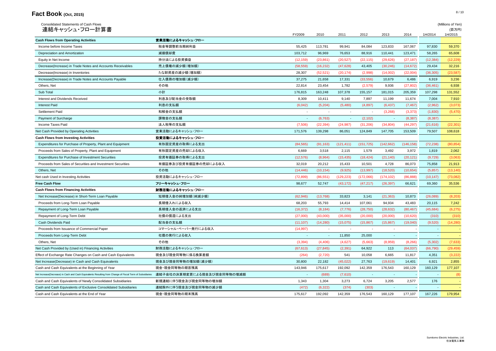| Consolidated Statements of Cash Flows<br>連結キャッシュ・フロー計算書                                                  |                             |                          |           |            |            |            |            |           | (Millions of Yen)<br>(百万円) |
|----------------------------------------------------------------------------------------------------------|-----------------------------|--------------------------|-----------|------------|------------|------------|------------|-----------|----------------------------|
|                                                                                                          |                             | FY2009                   | 2010      | 2011       | 2012       | 2013       | 2014       | 1H/2014   | 1H/2015                    |
| <b>Cash Flows from Operating Activities</b>                                                              | 営業活動によるキャッシュ・フロー            |                          |           |            |            |            |            |           |                            |
| Income before Income Taxes                                                                               | 税金等調整前当期純利益                 | 55,425                   | 113,781   | 99,941     | 84,084     | 123,833    | 167,067    | 97,830    | 59,370                     |
| Depreciation and Amortization                                                                            | 減価償却費                       | 103,712                  | 96,969    | 76,653     | 88,916     | 110,441    | 123,471    | 58,265    | 65,608                     |
| Equity in Net Income                                                                                     | 持分法による投資損益                  | (12, 159)                | (23, 861) | (20, 527)  | (22, 115)  | (29, 626)  | (27, 187)  | (12, 384) | (12, 229)                  |
| Decrease(Increase) in Trade Notes and Accounts Receivables                                               | 売上債権の減少額(増加額)               | (58, 559)                | (16, 232) | (47, 628)  | 43,405     | (30, 246)  | (14, 672)  | 29,434    | 32,216                     |
| Decrease(Increase) in Inventories                                                                        | たな卸資産の減少額(増加額)              | 28,307                   | (52, 521) | (20, 174)  | (2,998)    | (14,002)   | (22,004)   | (36, 305) | (23, 587)                  |
| Increase(Decrease) in Trade Notes and Accounts Payable                                                   | 仕入債務の増加額(減少額)               | 37,275                   | 21,658    | 17,331     | (33, 556)  | 10,679     | 6,486      | 6,919     | 3,236                      |
| Others, Net                                                                                              | その他                         | 22,814                   | 23,454    | 1,782      | (2,579)    | 9,936      | (27, 802)  | (36, 461) | 6,938                      |
| Sub Total                                                                                                | 小計                          | 176,815                  | 163,248   | 107,378    | 155,157    | 181,015    | 205,359    | 107,298   | 131,552                    |
| Interest and Dividends Received                                                                          | 利息及び配当金の受取額                 | 8,309                    | 10,411    | 9,140      | 7,897      | 11,199     | 11,674     | 7,004     | 7,910                      |
| <b>Interest Paid</b>                                                                                     | 利息の支払額                      | (6,042)                  | (5,204)   | (5,480)    | (4,897)    | (6, 437)   | (7, 467)   | (2,962)   | (3,073)                    |
| Settlement Paid                                                                                          | 和解金の支払額                     | $\sim$                   | $\sim$    | $\sim$     | $\sim$     | (3,268)    | (3, 373)   | (1,830)   | (5,470)                    |
| Payment of Surcharge                                                                                     | 課徴金の支払額                     | $\overline{\phantom{a}}$ | (6, 763)  | $\sim$     | (2, 102)   | $\sim$     | (8, 387)   | (8,387)   |                            |
| Income Taxes Paid                                                                                        | 法人税等の支払額                    | (7,506)                  | (22, 394) | (24, 987)  | (31, 206)  | (34, 804)  | (44, 297)  | (21, 616) | (22, 301)                  |
| Net Cash Provided by Operating Activities                                                                | 営業活動によるキャッシュ・フロー            | 171,576                  | 139,298   | 86,051     | 124,849    | 147,705    | 153,509    | 79,507    | 108,618                    |
| <b>Cash Flows from Investing Activities</b>                                                              | 投資活動によるキャッシュ・フロー            |                          |           |            |            |            |            |           |                            |
| Expenditures for Purchase of Property, Plant and Equipment                                               | 有形固定資産の取得による支出              | (84, 565)                | (91, 163) | (121, 411) | (151, 725) | (142, 662) | (146, 158) | (72, 238) | (80, 854)                  |
| Proceeds from Sales of Property, Plant and Equipment                                                     | 有形固定資産の売却による収入              | 6,669                    | 3,518     | 2,115      | 1,579      | 3,492      | 3,972      | 1,819     | 2,062                      |
| Expenditures for Purchase of Investment Securities                                                       | 投資有価証券の取得による支出              | (12, 576)                | (8,964)   | (15, 435)  | (18, 424)  | (21, 140)  | (20, 121)  | (9,729)   | (3,063)                    |
| Proceeds from Sales of Securities and Investment Securities                                              | 有価証券及び投資有価証券の売却による収入        | 32,019                   | 20,212    | 15,433     | 10,501     | 4,728      | 86,073     | 75,858    | 21,913                     |
| Others, Net                                                                                              | その他                         | (14, 446)                | (10, 154) | (9,925)    | (13,997)   | (18,520)   | (10, 654)  | (5,857)   | (13, 140)                  |
| Net cash Used in Investing Activities                                                                    | 投資活動によるキャッシュ・フロー            | (72, 899)                | (86, 551) | (129, 223) | (172,066)  | (174, 102) | (86, 888)  | (10, 147) | (73,082)                   |
| <b>Free Cash Flow</b>                                                                                    | フリーキャッシュ・フロー                | 98,677                   | 52,747    | (43, 172)  | (47, 217)  | (26, 397)  | 66,621     | 69,360    | 35,536                     |
| <b>Cash Flows from Financing Activities</b>                                                              | 財務活動によるキャッシュ・フロー            |                          |           |            |            |            |            |           |                            |
| Net Increase(Decrease) in Short-Term Loan Payable                                                        | 短期借入金の純増加額(純減少額)            | (62, 946)                | (13,768)  | 33,823     | 3,141      | (21, 363)  | 10,873     | (26,089)  | (8, 203)                   |
| Proceeds from Long-Term Loan Payable                                                                     | 長期借入れによる収入                  | 68,203                   | 55,793    | 14,414     | 107,061    | 94,934     | 43,483     | 20.115    | 7,242                      |
| Repayment of Long-Term Loan Payable                                                                      | 長期借入金の返済による支出               | (16, 372)                | (8, 184)  | (7, 776)   | (28, 750)  | (28, 632)  | (80, 467)  | (45, 684) | (6, 275)                   |
| Repayment of Long-Term Debt                                                                              | 社債の償還による支出                  | (27,000)                 | (43,000)  | (35,000)   | (20,000)   | (20,000)   | (10,620)   | (310)     | (310)                      |
| Cash Dividends Paid                                                                                      | 配当金の支払額                     |                          | (14, 280) | (15,075)   | (15, 867)  | (15, 867)  | (19,040)   | (9,520)   |                            |
|                                                                                                          |                             | (11, 107)                | $\sim$    | $\sim$     |            |            |            |           | (14,280)                   |
| Proceeds from Issuance of Commercial Paper                                                               | コマーシャル・ペーパー発行による収入          | (14, 997)                |           |            | $\sim$     | $\sim$     |            | $\sim$    |                            |
| Proceeds from Long-Term Debt                                                                             | 社債の発行による収入                  | $\sim$                   | $\sim$    | 11,850     | 25,000     | $\sim$     |            | $\sim$    |                            |
| Others, Net                                                                                              | その他                         | (3,394)                  | (4, 406)  | (4.627)    | (5,663)    | (8,959)    | (8, 266)   | (5,302)   | (7,633)                    |
| Net Cash Provided by (Used in) Financing Activities                                                      | 財務活動によるキャッシュ・フロー            | (67, 613)                | (27, 845) | (2, 391)   | 64,922     | 113        | (64, 037)  | (66, 790) | (29, 459)                  |
| Effect of Exchange Rate Changes on Cash and Cash Equivalents                                             | 現金及び現金同等物に係る換算差額            | (264)                    | (2,720)   | 541        | 10,058     | 6.665      | 11,817     | 4.351     | (3,222)                    |
| Net Increase(Decrease) in Cash and Cash Equivalents                                                      | 現金及び現金同等物の増加額(減少額)          | 30.800                   | 22.182    | (45, 022)  | 27.763     | (19,619)   | 14,401     | 6.921     | 2,855                      |
| Cash and Cash Equivalents at the Beginning of Year                                                       | 現金・現金同等物の期首残高               | 143,946                  | 175,617   | 192,092    | 142.359    | 176,543    | 160.129    | 160.129   | 177,107                    |
| Net Increase(Decrease) in Cash and Cash Equivalents Resulting from Change of Fiscal Term of Subsidiaries | 連結子会社の決算期変更による現金及び現金同等物の増減額 | $\sim$                   | (689)     | (7,610)    | $\sim$     |            |            | $\sim$    | (8)                        |
| Cash and Cash Equivalents of Newly Consolidated Subsidiaries                                             | 新規連結に伴う現金及び現金同等物の増加額        | 1,343                    | 1,304     | 3,273      | 6,724      | 3,205      | 2,577      | 176       |                            |
| Cash and Cash Equivalents of Exclusive Consolidated Subsidiaries                                         | 連結除外に伴う現金及び現金同等物の減少額        | (472)                    | (6, 322)  | (374)      | (303)      | $\sim$     |            | $\sim$    |                            |
| Cash and Cash Equivalents at the End of Year                                                             | 現金・現金同等物の期末残高               | 175.617                  | 192,092   | 142,359    | 176,543    | 160.129    | 177.107    | 167,226   | 179.954                    |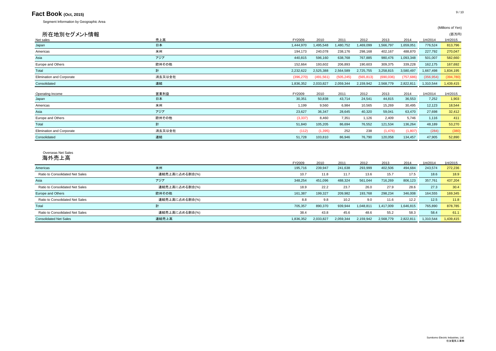Segment Information by Geographic Area

|            |            |            |            |            |            |            | (百万円)     |
|------------|------------|------------|------------|------------|------------|------------|-----------|
| FY2009     | 2010       | 2011       | 2012       | 2013       | 2014       | 1H/2014    | 1H/2015   |
| 1,444,970  | 1,495,548  | 1,480,752  | 1,469,099  | 1,566,797  | 1,659,051  | 776,524    | 813,796   |
| 194,173    | 240,078    | 238,176    | 298,168    | 402,167    | 488,870    | 227,792    | 270,047   |
| 440,815    | 596,160    | 638,768    | 767,885    | 980,476    | 1,093,348  | 501,007    | 582,660   |
| 152,664    | 193,602    | 206,893    | 190,603    | 309,375    | 339,228    | 162,175    | 167,692   |
| 2,232,622  | 2,525,388  | 2,564,589  | 2,725,755  | 3,258,815  | 3,580,497  | 1,667,498  | 1,834,195 |
| (396, 270) | (491, 561) | (505, 245) | (565, 813) | (690, 036) | (757, 686) | (356, 954) | (394,780) |
| 1,836,352  | 2,033,827  | 2,059,344  | 2,159,942  | 2,568,779  | 2,822,811  | 1,310,544  | 1,439,415 |
| FY2009     | 2010       | 2011       | 2012       | 2013       | 2014       | 1H/2014    | 1H/2015   |
| 30,351     | 50,838     | 43,714     | 24,541     | 44,815     | 36,553     | 7,252      | 1,903     |
| 1,199      | 9,560      | 6,984      | 10,565     | 15,269     | 30,495     | 12,123     | 18,544    |
| 23,627     | 36,347     | 28,645     | 40,320     | 59,041     | 63,470     | 27,698     | 32,412    |
| (3, 337)   | 8,460      | 7,351      | 1,126      | 2,409      | 5,746      | 1,116      | 411       |
| 51,840     | 105,205    | 86,694     | 76,552     | 121,534    | 136,264    | 48,189     | 53,270    |
| (112)      | (1, 395)   | 252        | 238        | (1, 476)   | (1,807)    | (284)      | (380)     |
| 51,728     | 103,810    | 86,946     | 76,790     | 120,058    | 134,457    | 47,905     | 52,890    |
|            |            |            |            |            |            |            |           |

#### Overseas Net Sales 海外売上高

|                                 |                | FY2009    | 2010      | 2011      | 2012      | 2013      | 2014      | 1H/2014   | 1H/2015   |
|---------------------------------|----------------|-----------|-----------|-----------|-----------|-----------|-----------|-----------|-----------|
| Americas                        | 米州             | 195,716   | 239,947   | 241,638   | 293,999   | 402,506   | 494,684   | 243,574   | 272,236   |
| Ratio to Consolidated Net Sales | 連結売上高に占める割合(%) | 10.7      | 11.8      | 11.7      | 13.6      | 15.7      | 17.5      | 18.6      | 18.9      |
| Asia                            | アジア            | 348,254   | 451,096   | 488,324   | 561,044   | 716,269   | 806,123   | 357,761   | 437,204   |
| Ratio to Consolidated Net Sales | 連結売上高に占める割合(%) | 18.9      | 22.2      | 23.7      | 26.0      | 27.9      | 28.6      | 27.3      | 30.4      |
| Europe and Others               | 欧州その他          | 161.387   | 199,327   | 209,982   | 193,768   | 298.234   | 346,008   | 164,555   | 169,345   |
| Ratio to Consolidated Net Sales | 連結売上高に占める割合(%) | 8.8       | 9.8       | 10.2      | 9.0       | 11.6      | 12.2      | 12.5      | 11.8      |
| Total                           | 計              | 705,357   | 890,370   | 939.944   | 1,048,811 | .417.009  | 1.646.815 | 765,890   | 878,785   |
| Ratio to Consolidated Net Sales | 連結売上高に占める割合(%) | 38.4      | 43.8      | 45.6      | 48.6      | 55.2      | 58.3      | 58.4      | 61.1      |
| <b>Consolidated Net Sales</b>   | 連結売上高          | 1.836.352 | 2.033.827 | 2.059.344 | 2,159,942 | 2.568.779 | 2.822.811 | 1.310.544 | 1,439,415 |